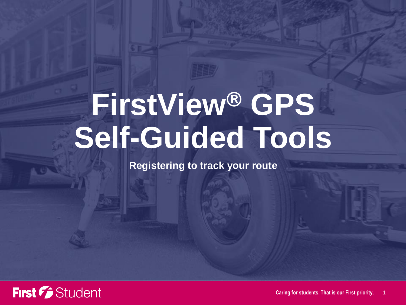**Registering to track your route**

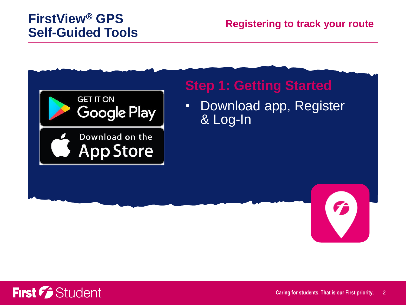#### **Registering to track your route**



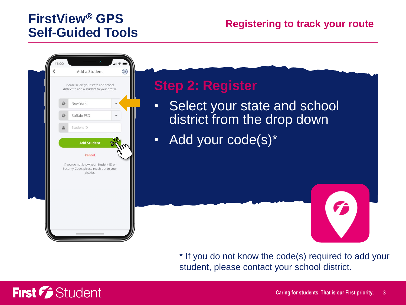

\* If you do not know the code(s) required to add your student, please contact your school district.

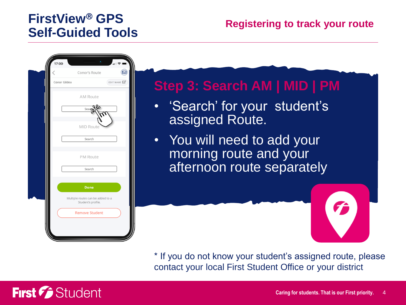

\* If you do not know your student's assigned route, please contact your local First Student Office or your district

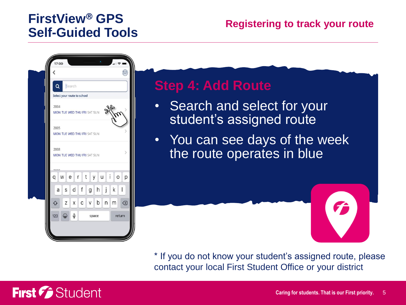#### **Registering to track your route**



## **Step 4: Add Route**

- Search and select for your student's assigned route
- You can see days of the week the route operates in blue

\* If you do not know your student's assigned route, please contact your local First Student Office or your district

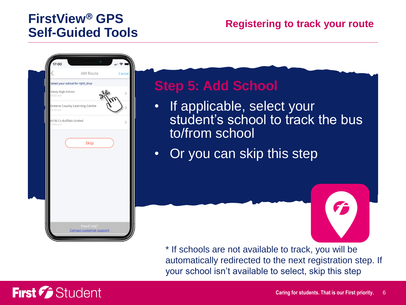#### **Registering to track your route**



# First *C* Student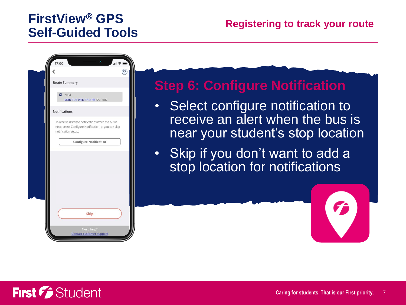

### **Step 6: Configure Notification**

- Select configure notification to receive an alert when the bus is near your student's stop location
- Skip if you don't want to add a stop location for notifications

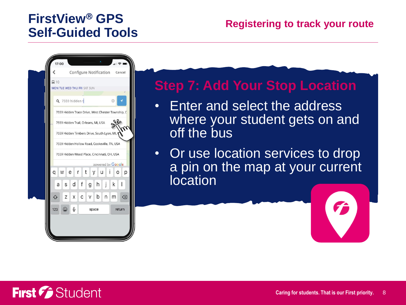

# **Step 7: Add Your Stop Location**

- Enter and select the address where your student gets on and off the bus
- Or use location services to drop a pin on the map at your current **location**

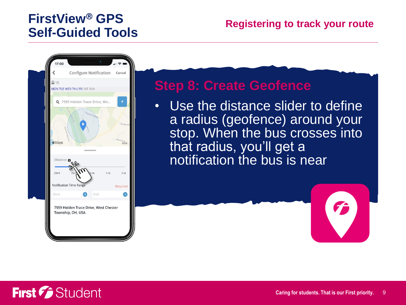

#### **Step 8: Create Geofence**

• Use the distance slider to define a radius (geofence) around your stop. When the bus crosses into that radius, you'll get a notification the bus is near



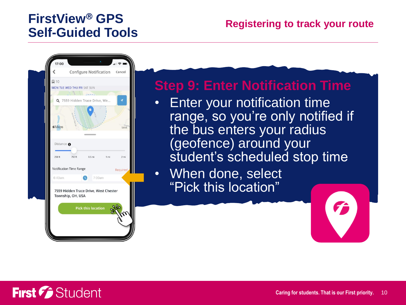

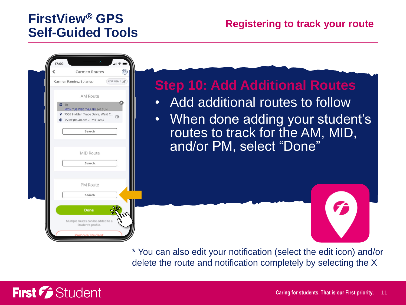#### **Registering to track your route**



\* You can also edit your notification (select the edit icon) and/or delete the route and notification completely by selecting the X